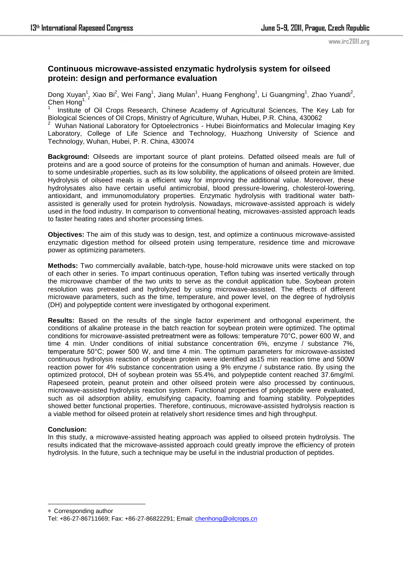www.irc2011.org

## **Continuous microwave-assisted enzymatic hydrolysis system for oilseed protein: design and performance evaluation**

Dong Xuyan<sup>1</sup>, Xiao Bi<sup>2</sup>, Wei Fang<sup>1</sup>, Jiang Mulan<sup>1</sup>, Huang Fenghong<sup>1</sup>, Li Guangming<sup>1</sup>, Zhao Yuandi<sup>2</sup>, Chen Hong<sup>1,</sup>

1 Institute of Oil Crops Research, Chinese Academy of Agricultural Sciences, The Key Lab for Biological Sciences of Oil Crops, Ministry of Agriculture, Wuhan, Hubei, P.R. China, 430062

2 Wuhan National Laboratory for Optoelectronics - Hubei Bioinformatics and Molecular Imaging Key Laboratory, College of Life Science and Technology, Huazhong University of Science and Technology, Wuhan, Hubei, P. R. China, 430074

**Background:** Oilseeds are important source of plant proteins. Defatted oilseed meals are full of proteins and are a good source of proteins for the consumption of human and animals. However, due to some undesirable properties, such as its low solubility, the applications of oilseed protein are limited. Hydrolysis of oilseed meals is a efficient way for improving the additional value. Moreover, these hydrolysates also have certain useful antimicrobial, blood pressure-lowering, cholesterol-lowering, antioxidant, and immunomodulatory properties. Enzymatic hydrolysis with traditional water bathassisted is generally used for protein hydrolysis. Nowadays, microwave-assisted approach is widely used in the food industry. In comparison to conventional heating, microwaves-assisted approach leads to faster heating rates and shorter processing times.

**Objectives:** The aim of this study was to design, test, and optimize a continuous microwave-assisted enzymatic digestion method for oilseed protein using temperature, residence time and microwave power as optimizing parameters.

**Methods:** Two commercially available, batch-type, house-hold microwave units were stacked on top of each other in series. To impart continuous operation, Teflon tubing was inserted vertically through the microwave chamber of the two units to serve as the conduit application tube. Soybean protein resolution was pretreated and hydrolyzed by using microwave-assisted. The effects of different microwave parameters, such as the time, temperature, and power level, on the degree of hydrolysis (DH) and polypeptide content were investigated by orthogonal experiment.

**Results:** Based on the results of the single factor experiment and orthogonal experiment, the conditions of alkaline protease in the batch reaction for soybean protein were optimized. The optimal conditions for microwave-assisted pretreatment were as follows: temperature 70°C, power 600 W, and time 4 min. Under conditions of initial substance concentration 6%, enzyme / substance 7%, temperature 50°C; power 500 W, and time 4 min. The optimum parameters for microwave-assisted continuous hydrolysis reaction of soybean protein were identified as15 min reaction time and 500W reaction power for 4% substance concentration using a 9% enzyme / substance ratio. By using the optimized protocol, DH of soybean protein was 55.4%, and polypeptide content reached 37.6mg/ml. Rapeseed protein, peanut protein and other oilseed protein were also processed by continuous, microwave-assisted hydrolysis reaction system. Functional properties of polypeptide were evaluated, such as oil adsorption ability, emulsifying capacity, foaming and foaming stability. Polypeptides showed better functional properties. Therefore, continuous, microwave-assisted hydrolysis reaction is a viable method for oilseed protein at relatively short residence times and high throughput.

## **Conclusion:**

1

In this study, a microwave-assisted heating approach was applied to oilseed protein hydrolysis. The results indicated that the microwave-assisted approach could greatly improve the efficiency of protein hydrolysis. In the future, such a technique may be useful in the industrial production of peptides.

\* Corresponding author

Tel: +86-27-86711669; Fax: +86-27-86822291; Email: chenhong@oilcrops.cn